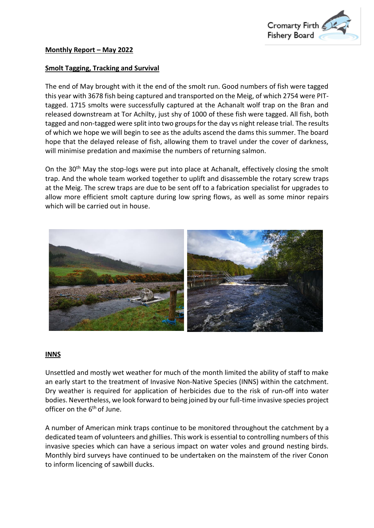

## **Smolt Tagging, Tracking and Survival**

The end of May brought with it the end of the smolt run. Good numbers of fish were tagged this year with 3678 fish being captured and transported on the Meig, of which 2754 were PITtagged. 1715 smolts were successfully captured at the Achanalt wolf trap on the Bran and released downstream at Tor Achilty, just shy of 1000 of these fish were tagged. All fish, both tagged and non-tagged were split into two groups for the day vs night release trial. The results of which we hope we will begin to see as the adults ascend the dams this summer. The board hope that the delayed release of fish, allowing them to travel under the cover of darkness, will minimise predation and maximise the numbers of returning salmon.

On the 30<sup>th</sup> May the stop-logs were put into place at Achanalt, effectively closing the smolt trap. And the whole team worked together to uplift and disassemble the rotary screw traps at the Meig. The screw traps are due to be sent off to a fabrication specialist for upgrades to allow more efficient smolt capture during low spring flows, as well as some minor repairs which will be carried out in house.



## **INNS**

Unsettled and mostly wet weather for much of the month limited the ability of staff to make an early start to the treatment of Invasive Non-Native Species (INNS) within the catchment. Dry weather is required for application of herbicides due to the risk of run-off into water bodies. Nevertheless, we look forward to being joined by our full-time invasive species project officer on the 6<sup>th</sup> of June.

A number of American mink traps continue to be monitored throughout the catchment by a dedicated team of volunteers and ghillies. This work is essential to controlling numbers of this invasive species which can have a serious impact on water voles and ground nesting birds. Monthly bird surveys have continued to be undertaken on the mainstem of the river Conon to inform licencing of sawbill ducks.